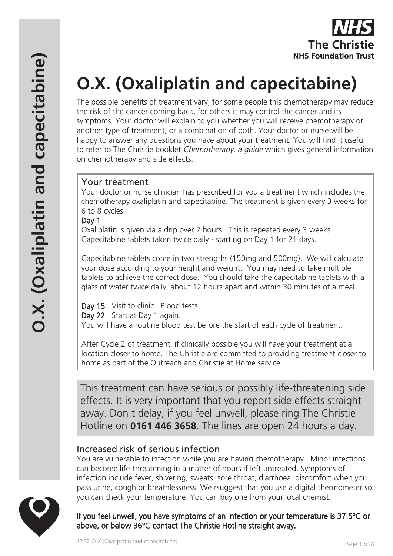# **O.X. (Oxaliplatin and capecitabine)**

The possible benefits of treatment vary; for some people this chemotherapy may reduce the risk of the cancer coming back, for others it may control the cancer and its symptoms. Your doctor will explain to you whether you will receive chemotherapy or another type of treatment, or a combination of both. Your doctor or nurse will be happy to answer any questions you have about your treatment. You will find it useful to refer to The Christie booklet *Chemotherapy, a quide* which gives general information on chemotherapy and side effects.

# Your treatment

Your doctor or nurse clinician has prescribed for you a treatment which includes the chemotherapy oxaliplatin and capecitabine. The treatment is given every 3 weeks for 6 to 8 cycles.

## Day 1

Oxaliplatin is given via a drip over 2 hours. This is repeated every 3 weeks. Capecitabine tablets taken twice daily - starting on Day 1 for 21 days.

Capecitabine tablets come in two strengths (150mg and 500mg). We will calculate your dose according to your height and weight. You may need to take multiple tablets to achieve the correct dose. You should take the capecitabine tablets with a glass of water twice daily, about 12 hours apart and within 30 minutes of a meal.

Day 15 Visit to clinic. Blood tests. Day 22 Start at Day 1 again. You will have a routine blood test before the start of each cycle of treatment.

After Cycle 2 of treatment, if clinically possible you will have your treatment at a location closer to home. The Christie are committed to providing treatment closer to home as part of the Outreach and Christie at Home service.

This treatment can have serious or possibly life-threatening side effects. It is very important that you report side effects straight away. Don't delay, if you feel unwell, please ring The Christie Hotline on **0161 446 3658**. The lines are open 24 hours a day.

# Increased risk of serious infection

You are vulnerable to infection while you are having chemotherapy. Minor infections can become life-threatening in a matter of hours if left untreated. Symptoms of infection include fever, shivering, sweats, sore throat, diarrhoea, discomfort when you pass urine, cough or breathlessness. We rsuggest that you use a digital thermometer so you can check your temperature. You can buy one from your local chemist.

# If you feel unwell, you have symptoms of an infection or your temperature is 37.5ºC or above, or below 36ºC contact The Christie Hotline straight away.

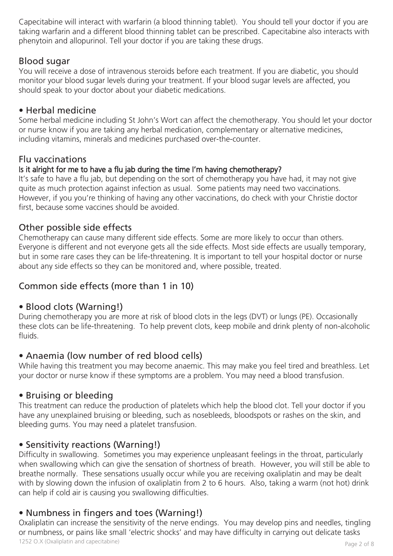Capecitabine will interact with warfarin (a blood thinning tablet). You should tell your doctor if you are taking warfarin and a different blood thinning tablet can be prescribed. Capecitabine also interacts with phenytoin and allopurinol. Tell your doctor if you are taking these drugs.

# Blood sugar

You will receive a dose of intravenous steroids before each treatment. If you are diabetic, you should monitor your blood sugar levels during your treatment. If your blood sugar levels are affected, you should speak to your doctor about your diabetic medications.

# • Herbal medicine

Some herbal medicine including St John's Wort can affect the chemotherapy. You should let your doctor or nurse know if you are taking any herbal medication, complementary or alternative medicines, including vitamins, minerals and medicines purchased over-the-counter.

# Flu vaccinations

## Is it alright for me to have a flu jab during the time I'm having chemotherapy?

It's safe to have a flu jab, but depending on the sort of chemotherapy you have had, it may not give quite as much protection against infection as usual. Some patients may need two vaccinations. However, if you you're thinking of having any other vaccinations, do check with your Christie doctor first, because some vaccines should be avoided.

# Other possible side effects

Chemotherapy can cause many different side effects. Some are more likely to occur than others. Everyone is different and not everyone gets all the side effects. Most side effects are usually temporary, but in some rare cases they can be life-threatening. It is important to tell your hospital doctor or nurse about any side effects so they can be monitored and, where possible, treated.

# Common side effects (more than 1 in 10)

## • Blood clots (Warning!)

During chemotherapy you are more at risk of blood clots in the legs (DVT) or lungs (PE). Occasionally these clots can be life-threatening. To help prevent clots, keep mobile and drink plenty of non-alcoholic fluids.

# • Anaemia (low number of red blood cells)

While having this treatment you may become anaemic. This may make you feel tired and breathless. Let your doctor or nurse know if these symptoms are a problem. You may need a blood transfusion.

## • Bruising or bleeding

This treatment can reduce the production of platelets which help the blood clot. Tell your doctor if you have any unexplained bruising or bleeding, such as nosebleeds, bloodspots or rashes on the skin, and bleeding gums. You may need a platelet transfusion.

## • Sensitivity reactions (Warning!)

Difficulty in swallowing. Sometimes you may experience unpleasant feelings in the throat, particularly when swallowing which can give the sensation of shortness of breath. However, you will still be able to breathe normally. These sensations usually occur while you are receiving oxaliplatin and may be dealt with by slowing down the infusion of oxaliplatin from 2 to 6 hours. Also, taking a warm (not hot) drink can help if cold air is causing you swallowing difficulties.

# • Numbness in fingers and toes (Warning!)

1252 O.X (Oxaliplatin and capecitabine) example of 8 Oxaliplatin can increase the sensitivity of the nerve endings. You may develop pins and needles, tingling or numbness, or pains like small 'electric shocks' and may have difficulty in carrying out delicate tasks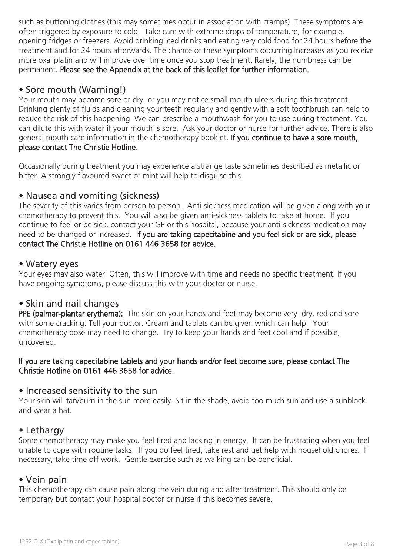such as buttoning clothes (this may sometimes occur in association with cramps). These symptoms are often triggered by exposure to cold. Take care with extreme drops of temperature, for example, opening fridges or freezers. Avoid drinking iced drinks and eating very cold food for 24 hours before the treatment and for 24 hours afterwards. The chance of these symptoms occurring increases as you receive more oxaliplatin and will improve over time once you stop treatment. Rarely, the numbness can be permanent. Please see the Appendix at the back of this leaflet for further information.

# • Sore mouth (Warning!)

Your mouth may become sore or dry, or you may notice small mouth ulcers during this treatment. Drinking plenty of fluids and cleaning your teeth regularly and gently with a soft toothbrush can help to reduce the risk of this happening. We can prescribe a mouthwash for you to use during treatment. You can dilute this with water if your mouth is sore. Ask your doctor or nurse for further advice. There is also general mouth care information in the chemotherapy booklet. If you continue to have a sore mouth, please contact The Christie Hotline.

Occasionally during treatment you may experience a strange taste sometimes described as metallic or bitter. A strongly flavoured sweet or mint will help to disguise this.

## • Nausea and vomiting (sickness)

The severity of this varies from person to person. Anti-sickness medication will be given along with your chemotherapy to prevent this. You will also be given anti-sickness tablets to take at home. If you continue to feel or be sick, contact your GP or this hospital, because your anti-sickness medication may need to be changed or increased. If you are taking capecitabine and you feel sick or are sick, please contact The Christie Hotline on 0161 446 3658 for advice.

## • Watery eyes

Your eyes may also water. Often, this will improve with time and needs no specific treatment. If you have ongoing symptoms, please discuss this with your doctor or nurse.

## • Skin and nail changes

PPE (palmar-plantar erythema): The skin on your hands and feet may become very dry, red and sore with some cracking. Tell your doctor. Cream and tablets can be given which can help. Your chemotherapy dose may need to change. Try to keep your hands and feet cool and if possible, uncovered.

#### If you are taking capecitabine tablets and your hands and/or feet become sore, please contact The Christie Hotline on 0161 446 3658 for advice.

## • Increased sensitivity to the sun

Your skin will tan/burn in the sun more easily. Sit in the shade, avoid too much sun and use a sunblock and wear a hat.

## • Lethargy

Some chemotherapy may make you feel tired and lacking in energy. It can be frustrating when you feel unable to cope with routine tasks. If you do feel tired, take rest and get help with household chores. If necessary, take time off work. Gentle exercise such as walking can be beneficial.

## • Vein pain

This chemotherapy can cause pain along the vein during and after treatment. This should only be temporary but contact your hospital doctor or nurse if this becomes severe.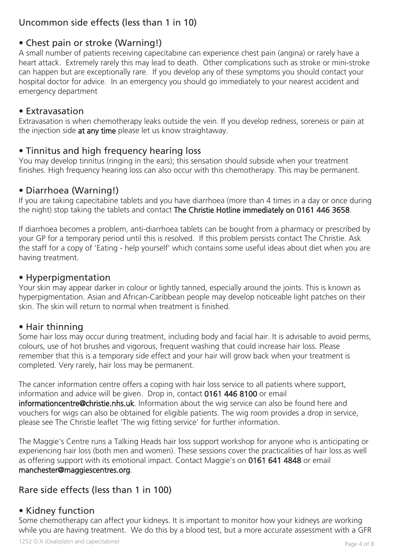# Uncommon side effects (less than 1 in 10)

# • Chest pain or stroke (Warning!)

A small number of patients receiving capecitabine can experience chest pain (angina) or rarely have a heart attack. Extremely rarely this may lead to death. Other complications such as stroke or mini-stroke can happen but are exceptionally rare. If you develop any of these symptoms you should contact your hospital doctor for advice. In an emergency you should go immediately to your nearest accident and emergency department

## • Extravasation

Extravasation is when chemotherapy leaks outside the vein. If you develop redness, soreness or pain at the injection side at any time please let us know straightaway.

# • Tinnitus and high frequency hearing loss

You may develop tinnitus (ringing in the ears); this sensation should subside when your treatment finishes. High frequency hearing loss can also occur with this chemotherapy. This may be permanent.

# • Diarrhoea (Warning!)

If you are taking capecitabine tablets and you have diarrhoea (more than 4 times in a day or once during the night) stop taking the tablets and contact The Christie Hotline immediately on 0161 446 3658.

If diarrhoea becomes a problem, anti-diarrhoea tablets can be bought from a pharmacy or prescribed by your GP for a temporary period until this is resolved. If this problem persists contact The Christie. Ask the staff for a copy of 'Eating - help yourself' which contains some useful ideas about diet when you are having treatment.

## • Hyperpigmentation

Your skin may appear darker in colour or lightly tanned, especially around the joints. This is known as hyperpigmentation. Asian and African-Caribbean people may develop noticeable light patches on their skin. The skin will return to normal when treatment is finished.

# • Hair thinning

Some hair loss may occur during treatment, including body and facial hair. It is advisable to avoid perms, colours, use of hot brushes and vigorous, frequent washing that could increase hair loss. Please remember that this is a temporary side effect and your hair will grow back when your treatment is completed. Very rarely, hair loss may be permanent.

The cancer information centre offers a coping with hair loss service to all patients where support, information and advice will be given. Drop in, contact 0161 446 8100 or email informationcentre@christie.nhs.uk. Information about the wig service can also be found here and vouchers for wigs can also be obtained for eligible patients. The wig room provides a drop in service, please see The Christie leaflet 'The wig fitting service' for further information.

The Maggie's Centre runs a Talking Heads hair loss support workshop for anyone who is anticipating or experiencing hair loss (both men and women). These sessions cover the practicalities of hair loss as well as offering support with its emotional impact. Contact Maggie's on 0161 641 4848 or email manchester@maggiescentres.org.

# Rare side effects (less than 1 in 100)

# • Kidney function

Some chemotherapy can affect your kidneys. It is important to monitor how your kidneys are working while you are having treatment. We do this by a blood test, but a more accurate assessment with a GFR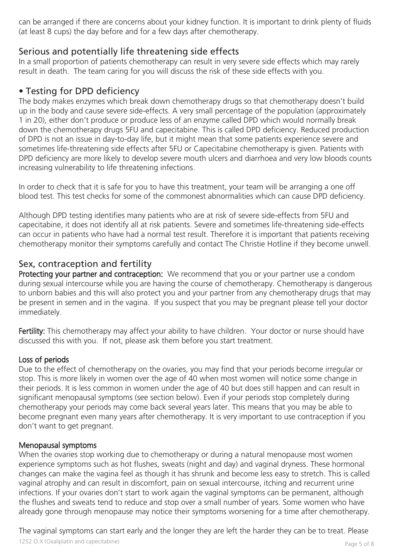can be arranged if there are concerns about your kidney function. It is important to drink plenty of fluids (at least 8 cups) the day before and for a few days after chemotherapy.

# Serious and potentially life threatening side effects

In a small proportion of patients chemotherapy can result in very severe side effects which may rarely result in death. The team caring for you will discuss the risk of these side effects with you.

# • Testing for DPD deficiency

The body makes enzymes which break down chemotherapy drugs so that chemotherapy doesn't build up in the body and cause severe side-effects. A very small percentage of the population (approximately 1 in 20), either don't produce or produce less of an enzyme called DPD which would normally break down the chemotherapy drugs 5FU and capecitabine. This is called DPD deficiency. Reduced production of DPD is not an issue in day-to-day life, but it might mean that some patients experience severe and sometimes life-threatening side effects after 5FU or Capecitabine chemotherapy is given. Patients with DPD deficiency are more likely to develop severe mouth ulcers and diarrhoea and very low bloods counts increasing vulnerability to life threatening infections.

In order to check that it is safe for you to have this treatment, your team will be arranging a one off blood test. This test checks for some of the commonest abnormalities which can cause DPD deficiency.

Although DPD testing identifies many patients who are at risk of severe side-effects from 5FU and capecitabine, it does not identify all at risk patients. Severe and sometimes life-threatening side-effects can occur in patients who have had a normal test result. Therefore it is important that patients receiving chemotherapy monitor their symptoms carefully and contact The Christie Hotline if they become unwell.

# Sex, contraception and fertility

Protecting your partner and contraception: We recommend that you or your partner use a condom during sexual intercourse while you are having the course of chemotherapy. Chemotherapy is dangerous to unborn babies and this will also protect you and your partner from any chemotherapy drugs that may be present in semen and in the vagina. If you suspect that you may be pregnant please tell your doctor immediately.

Fertility: This chemotherapy may affect your ability to have children. Your doctor or nurse should have discussed this with you. If not, please ask them before you start treatment.

## Loss of periods

Due to the effect of chemotherapy on the ovaries, you may find that your periods become irregular or stop. This is more likely in women over the age of 40 when most women will notice some change in their periods. It is less common in women under the age of 40 but does still happen and can result in significant menopausal symptoms (see section below). Even if your periods stop completely during chemotherapy your periods may come back several years later. This means that you may be able to become pregnant even many years after chemotherapy. It is very important to use contraception if you don't want to get pregnant.

## Menopausal symptoms

When the ovaries stop working due to chemotherapy or during a natural menopause most women experience symptoms such as hot flushes, sweats (night and day) and vaginal dryness. These hormonal changes can make the vagina feel as though it has shrunk and become less easy to stretch. This is called vaginal atrophy and can result in discomfort, pain on sexual intercourse, itching and recurrent urine infections. If your ovaries don't start to work again the vaginal symptoms can be permanent, although the flushes and sweats tend to reduce and stop over a small number of years. Some women who have already gone through menopause may notice their symptoms worsening for a time after chemotherapy.

The vaginal symptoms can start early and the longer they are left the harder they can be to treat. Please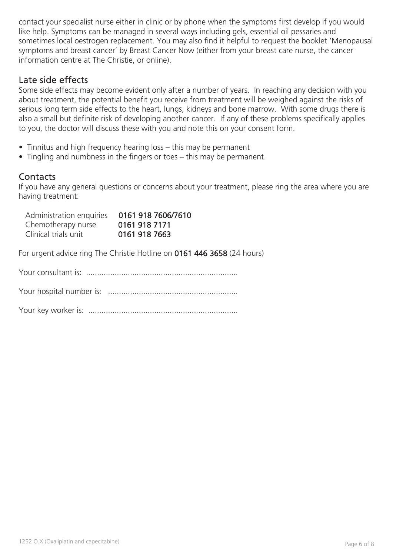contact your specialist nurse either in clinic or by phone when the symptoms first develop if you would like help. Symptoms can be managed in several ways including gels, essential oil pessaries and sometimes local oestrogen replacement. You may also find it helpful to request the booklet 'Menopausal symptoms and breast cancer' by Breast Cancer Now (either from your breast care nurse, the cancer information centre at The Christie, or online).

## Late side effects

Some side effects may become evident only after a number of years. In reaching any decision with you about treatment, the potential benefit you receive from treatment will be weighed against the risks of serious long term side effects to the heart, lungs, kidneys and bone marrow. With some drugs there is also a small but definite risk of developing another cancer. If any of these problems specifically applies to you, the doctor will discuss these with you and note this on your consent form.

- Tinnitus and high frequency hearing loss this may be permanent
- Tingling and numbness in the fingers or toes this may be permanent.

## **Contacts**

If you have any general questions or concerns about your treatment, please ring the area where you are having treatment:

| Administration enquiries | 0161 918 7606/7610 |
|--------------------------|--------------------|
| Chemotherapy nurse       | 0161 918 7171      |
| Clinical trials unit     | 0161 918 7663      |

For urgent advice ring The Christie Hotline on 0161 446 3658 (24 hours)

Your consultant is: .....................................................................

Your hospital number is: ...........................................................

Your key worker is: ....................................................................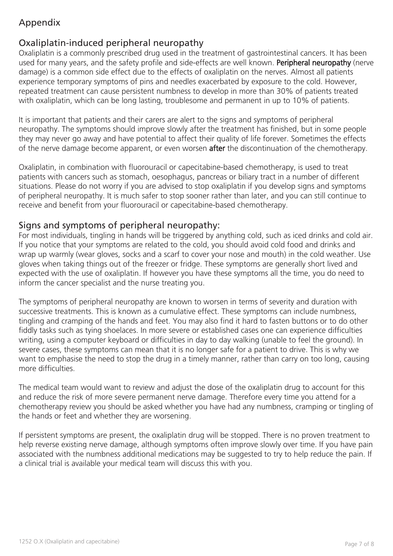# Appendix

# Oxaliplatin-induced peripheral neuropathy

Oxaliplatin is a commonly prescribed drug used in the treatment of gastrointestinal cancers. It has been used for many years, and the safety profile and side-effects are well known. Peripheral neuropathy (nerve damage) is a common side effect due to the effects of oxaliplatin on the nerves. Almost all patients experience temporary symptoms of pins and needles exacerbated by exposure to the cold. However, repeated treatment can cause persistent numbness to develop in more than 30% of patients treated with oxaliplatin, which can be long lasting, troublesome and permanent in up to 10% of patients.

It is important that patients and their carers are alert to the signs and symptoms of peripheral neuropathy. The symptoms should improve slowly after the treatment has finished, but in some people they may never go away and have potential to affect their quality of life forever. Sometimes the effects of the nerve damage become apparent, or even worsen after the discontinuation of the chemotherapy.

Oxaliplatin, in combination with fluorouracil or capecitabine-based chemotherapy, is used to treat patients with cancers such as stomach, oesophagus, pancreas or biliary tract in a number of different situations. Please do not worry if you are advised to stop oxaliplatin if you develop signs and symptoms of peripheral neuropathy. It is much safer to stop sooner rather than later, and you can still continue to receive and benefit from your fluorouracil or capecitabine-based chemotherapy.

# Signs and symptoms of peripheral neuropathy:

For most individuals, tingling in hands will be triggered by anything cold, such as iced drinks and cold air. If you notice that your symptoms are related to the cold, you should avoid cold food and drinks and wrap up warmly (wear gloves, socks and a scarf to cover your nose and mouth) in the cold weather. Use gloves when taking things out of the freezer or fridge. These symptoms are generally short lived and expected with the use of oxaliplatin. If however you have these symptoms all the time, you do need to inform the cancer specialist and the nurse treating you.

The symptoms of peripheral neuropathy are known to worsen in terms of severity and duration with successive treatments. This is known as a cumulative effect. These symptoms can include numbness, tingling and cramping of the hands and feet. You may also find it hard to fasten buttons or to do other fiddly tasks such as tying shoelaces. In more severe or established cases one can experience difficulties writing, using a computer keyboard or difficulties in day to day walking (unable to feel the ground). In severe cases, these symptoms can mean that it is no longer safe for a patient to drive. This is why we want to emphasise the need to stop the drug in a timely manner, rather than carry on too long, causing more difficulties.

The medical team would want to review and adjust the dose of the oxaliplatin drug to account for this and reduce the risk of more severe permanent nerve damage. Therefore every time you attend for a chemotherapy review you should be asked whether you have had any numbness, cramping or tingling of the hands or feet and whether they are worsening.

If persistent symptoms are present, the oxaliplatin drug will be stopped. There is no proven treatment to help reverse existing nerve damage, although symptoms often improve slowly over time. If you have pain associated with the numbness additional medications may be suggested to try to help reduce the pain. If a clinical trial is available your medical team will discuss this with you.